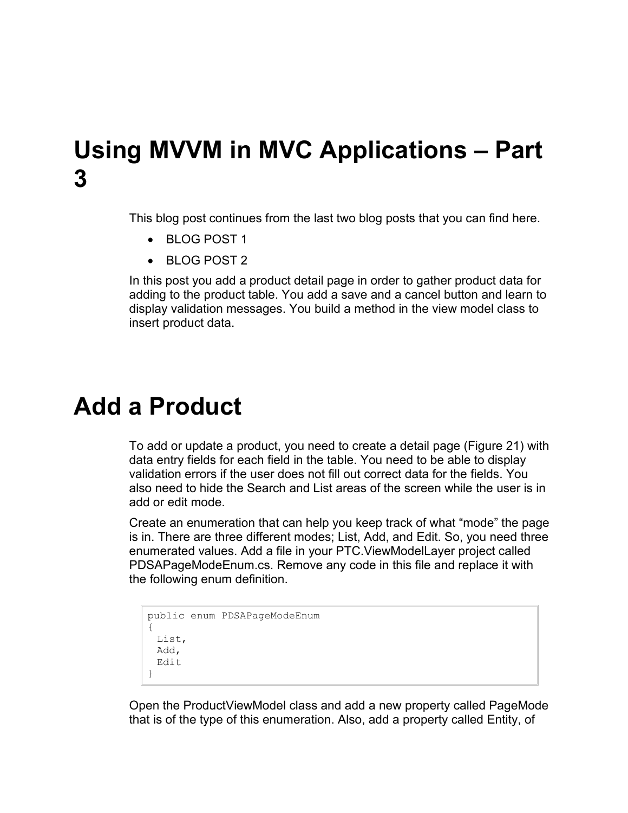## **Using MVVM in MVC Applications – Part 3**

This blog post continues from the last two blog posts that you can find here.

- BLOG POST 1
- BLOG POST 2

In this post you add a product detail page in order to gather product data for adding to the product table. You add a save and a cancel button and learn to display validation messages. You build a method in the view model class to insert product data.

# **Add a Product**

To add or update a product, you need to create a detail page [\(Figure 21\)](#page-6-0) with data entry fields for each field in the table. You need to be able to display validation errors if the user does not fill out correct data for the fields. You also need to hide the Search and List areas of the screen while the user is in add or edit mode.

Create an enumeration that can help you keep track of what "mode" the page is in. There are three different modes; List, Add, and Edit. So, you need three enumerated values. Add a file in your PTC.ViewModelLayer project called PDSAPageModeEnum.cs. Remove any code in this file and replace it with the following enum definition.

```
public enum PDSAPageModeEnum
{
 List,
 Add,
 Edit
}
```
Open the ProductViewModel class and add a new property called PageMode that is of the type of this enumeration. Also, add a property called Entity, of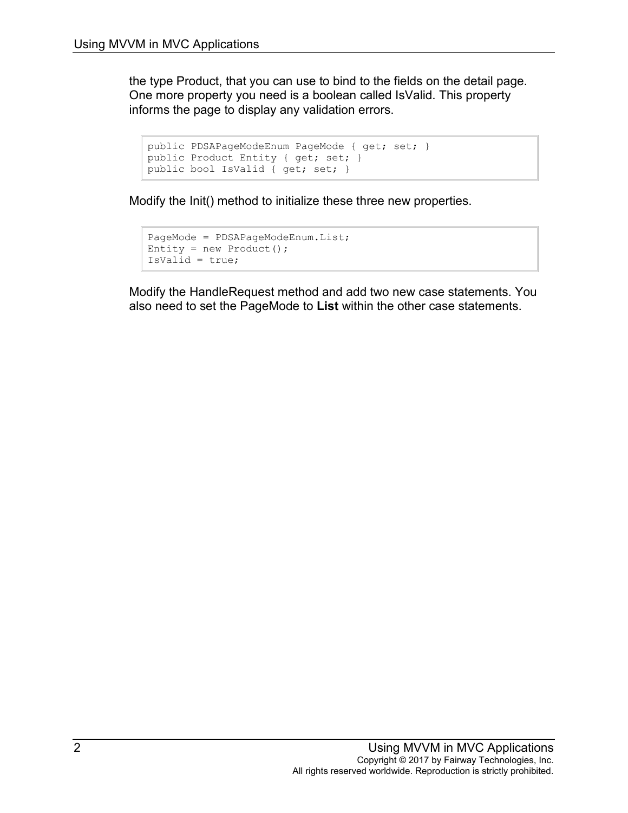the type Product, that you can use to bind to the fields on the detail page. One more property you need is a boolean called IsValid. This property informs the page to display any validation errors.

```
public PDSAPageModeEnum PageMode { get; set; }
public Product Entity { get; set; }
public bool IsValid { get; set; }
```
Modify the Init() method to initialize these three new properties.

```
PageMode = PDSAPageModeEnum.List;
Entity = new Product();
IsValid = true;
```
Modify the HandleRequest method and add two new case statements. You also need to set the PageMode to **List** within the other case statements.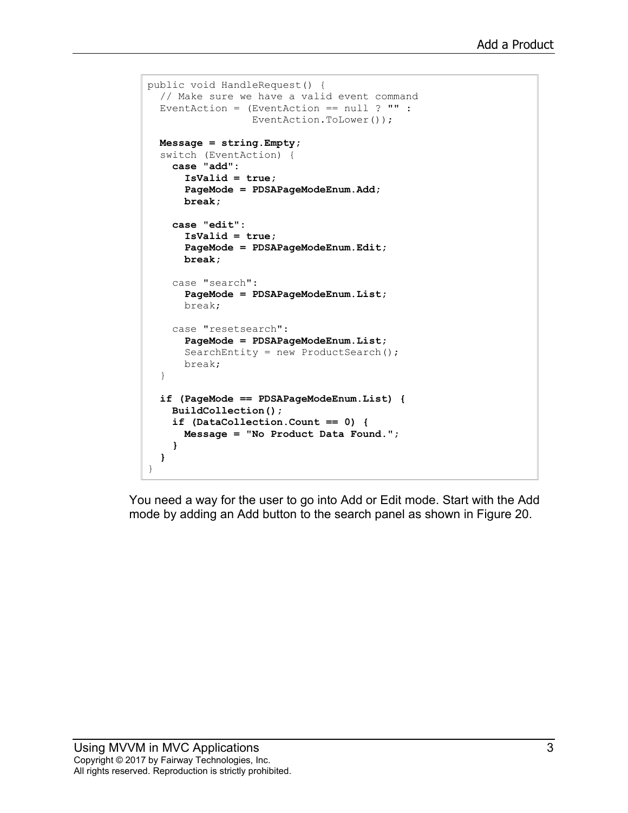```
public void HandleRequest() {
  // Make sure we have a valid event command
   EventAction = (EventAction == null ? "" :
                  EventAction.ToLower());
  Message = string.Empty;
   switch (EventAction) {
     case "add":
       IsValid = true;
       PageMode = PDSAPageModeEnum.Add;
       break;
     case "edit":
       IsValid = true;
       PageMode = PDSAPageModeEnum.Edit;
       break;
     case "search":
       PageMode = PDSAPageModeEnum.List;
       break;
     case "resetsearch":
       PageMode = PDSAPageModeEnum.List;
      SearchEntity = new ProductSearch();
       break;
   }
   if (PageMode == PDSAPageModeEnum.List) {
     BuildCollection();
     if (DataCollection.Count == 0) {
       Message = "No Product Data Found.";
     }
   }
}
```
You need a way for the user to go into Add or Edit mode. Start with the Add mode by adding an Add button to the search panel as shown in [Figure 20.](#page-3-0)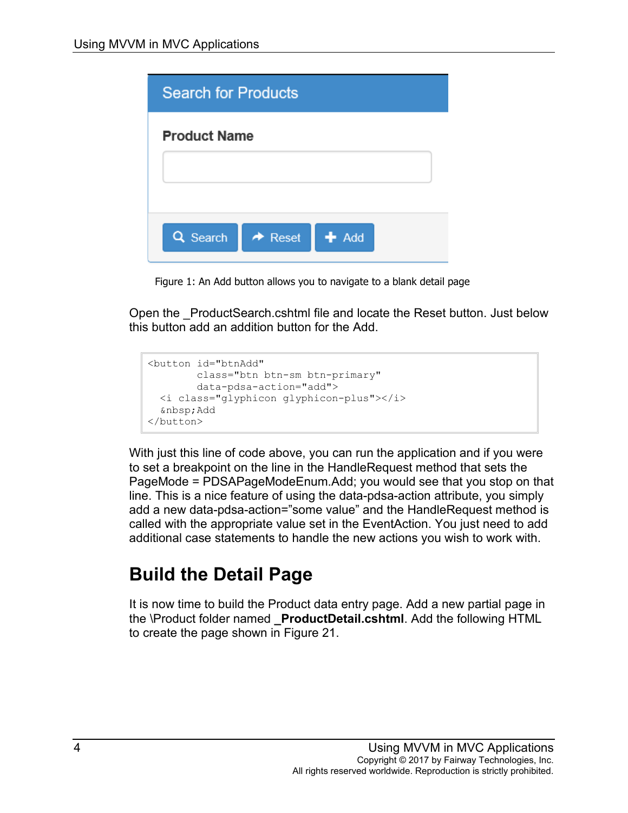| <b>Search for Products</b> |                                |  |
|----------------------------|--------------------------------|--|
| <b>Product Name</b>        |                                |  |
|                            |                                |  |
|                            |                                |  |
| <b>Q</b> Search            | $\rightarrow$ Reset<br>$+$ Add |  |
|                            |                                |  |

Figure 1: An Add button allows you to navigate to a blank detail page

<span id="page-3-0"></span>Open the \_ProductSearch.cshtml file and locate the Reset button. Just below this button add an addition button for the Add.

```
<button id="btnAdd"
        class="btn btn-sm btn-primary"
        data-pdsa-action="add">
  <i class="glyphicon glyphicon-plus"></i>
  Add
</button>
```
With just this line of code above, you can run the application and if you were to set a breakpoint on the line in the HandleRequest method that sets the PageMode = PDSAPageModeEnum.Add; you would see that you stop on that line. This is a nice feature of using the data-pdsa-action attribute, you simply add a new data-pdsa-action="some value" and the HandleRequest method is called with the appropriate value set in the EventAction. You just need to add additional case statements to handle the new actions you wish to work with.

#### **Build the Detail Page**

It is now time to build the Product data entry page. Add a new partial page in the \Product folder named **\_ProductDetail.cshtml**. Add the following HTML to create the page shown in [Figure 21.](#page-6-0)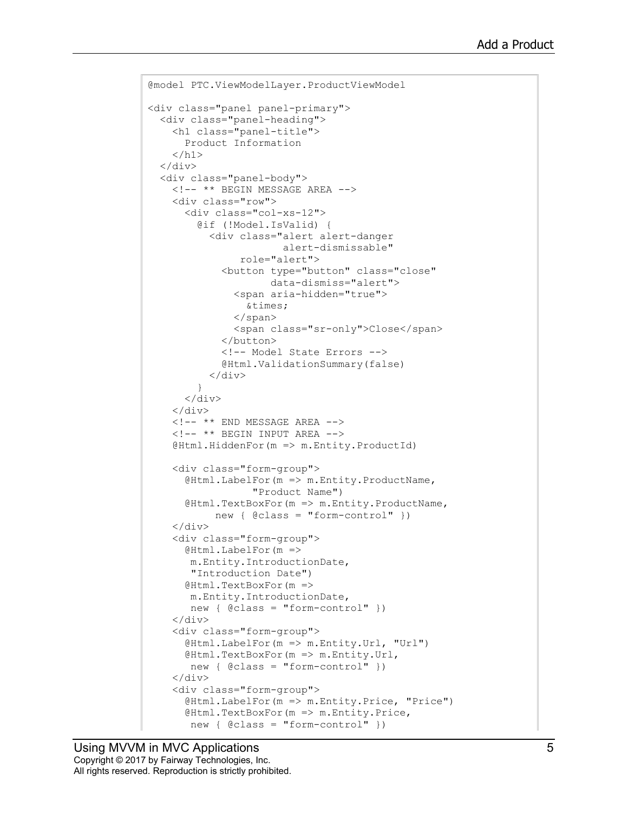```
@model PTC.ViewModelLayer.ProductViewModel
<div class="panel panel-primary">
  <div class="panel-heading">
     <h1 class="panel-title">
       Product Information
    \langle/h1>
  \langle div>
   <div class="panel-body">
     <!-- ** BEGIN MESSAGE AREA -->
     <div class="row">
       <div class="col-xs-12">
         @if (!Model.IsValid) {
           <div class="alert alert-danger
                        alert-dismissable"
                 role="alert">
             <button type="button" class="close"
                      data-dismiss="alert">
                <span aria-hidden="true">
                 ×
                </span>
                <span class="sr-only">Close</span>
              </button>
             <!-- Model State Errors -->
             @Html.ValidationSummary(false)
         </div>
 }
      \langle/div\rangle\langlediv\rangle\langle!-- ** END MESSAGE AREA -->
    \langle!-- ** BEGIN INPUT AREA -->
     @Html.HiddenFor(m => m.Entity.ProductId)
     <div class="form-group">
      @Html.LabelFor(m => m.Entity.ProductName,
                   "Product Name")
       @Html.TextBoxFor(m => m.Entity.ProductName,
            new { @class = "form-control" })
     </div>
     <div class="form-group">
       @Html.LabelFor(m =>
        m.Entity.IntroductionDate,
        "Introduction Date")
       @Html.TextBoxFor(m =>
        m.Entity.IntroductionDate,
        new { @class = "form-control" })
    \langle div>
     <div class="form-group">
       @Html.LabelFor(m => m.Entity.Url, "Url")
       @Html.TextBoxFor(m => m.Entity.Url,
        new { @class = "form-control" })
     </div>
     <div class="form-group">
       @Html.LabelFor(m => m.Entity.Price, "Price")
       @Html.TextBoxFor(m => m.Entity.Price,
        new { @class = "form-control" })
```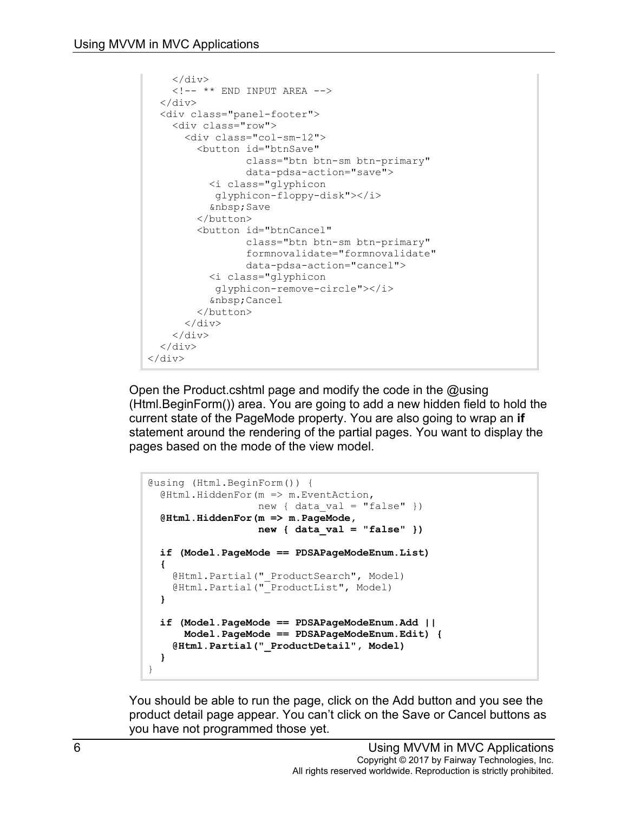```
\langle div>
    \langle!-- ** END INPUT AREA -->
  \langle div\rangle <div class="panel-footer">
     <div class="row">
       <div class="col-sm-12">
          <button id="btnSave"
                  class="btn btn-sm btn-primary"
                  data-pdsa-action="save">
           <i class="glyphicon
             glyphicon-floppy-disk"></i>
             Save
          </button>
          <button id="btnCancel"
                   class="btn btn-sm btn-primary"
                   formnovalidate="formnovalidate"
                  data-pdsa-action="cancel">
            <i class="glyphicon
            glyphicon-remove-circle"></i>
            Cancel
          </button>
      \langle div>
    \langle/div>
  \langle/div\rangle</div>
```
Open the Product.cshtml page and modify the code in the @using (Html.BeginForm()) area. You are going to add a new hidden field to hold the current state of the PageMode property. You are also going to wrap an **if** statement around the rendering of the partial pages. You want to display the pages based on the mode of the view model.

```
@using (Html.BeginForm()) {
 @Html.HiddenFor(m => m.EventAction,
                  new { data val = "false" })
  @Html.HiddenFor(m => m.PageMode, 
                   new { data_val = "false" })
 if (Model.PageMode == PDSAPageModeEnum.List)
 {
    @Html.Partial("_ProductSearch", Model)
    @Html.Partial("_ProductList", Model)
 }
 if (Model.PageMode == PDSAPageModeEnum.Add ||
       Model.PageMode == PDSAPageModeEnum.Edit) {
     @Html.Partial("_ProductDetail", Model)
 }
}
```
You should be able to run the page, click on the Add button and you see the product detail page appear. You can't click on the Save or Cancel buttons as you have not programmed those yet.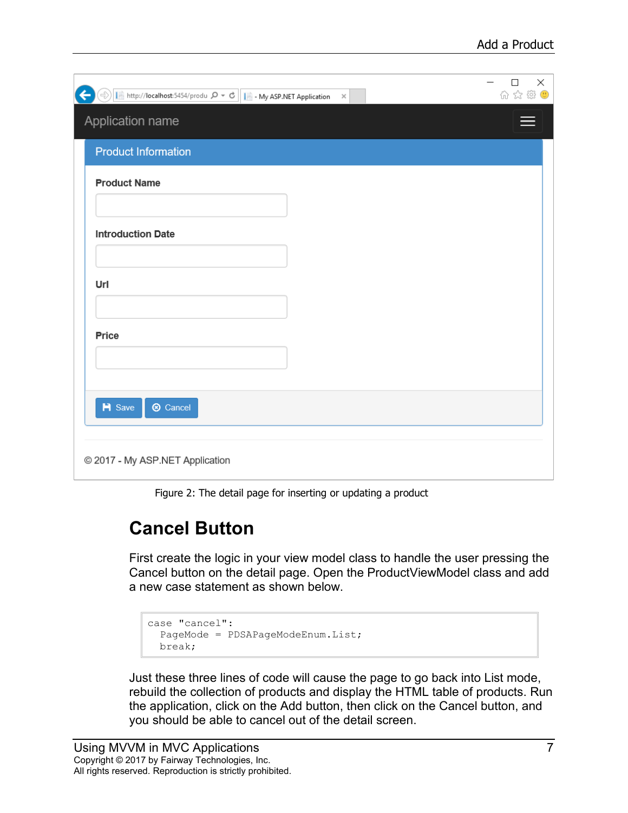| $\Rightarrow$ T http://localhost:5454/produ $\varphi \cdot c$ T - My ASP.NET Application $\times$<br>$\leftarrow$ | ×<br>□<br>价 ☆ ※ ● |
|-------------------------------------------------------------------------------------------------------------------|-------------------|
| Application name                                                                                                  |                   |
| <b>Product Information</b>                                                                                        |                   |
| <b>Product Name</b>                                                                                               |                   |
| <b>Introduction Date</b>                                                                                          |                   |
|                                                                                                                   |                   |
| Url                                                                                                               |                   |
| Price                                                                                                             |                   |
|                                                                                                                   |                   |
| <b>H</b> Save<br><b>8</b> Cancel                                                                                  |                   |
|                                                                                                                   |                   |
| © 2017 - My ASP.NET Application                                                                                   |                   |

Figure 2: The detail page for inserting or updating a product

#### <span id="page-6-0"></span>**Cancel Button**

First create the logic in your view model class to handle the user pressing the Cancel button on the detail page. Open the ProductViewModel class and add a new case statement as shown below.

```
case "cancel":
  PageMode = PDSAPageModeEnum.List;
  break;
```
Just these three lines of code will cause the page to go back into List mode, rebuild the collection of products and display the HTML table of products. Run the application, click on the Add button, then click on the Cancel button, and you should be able to cancel out of the detail screen.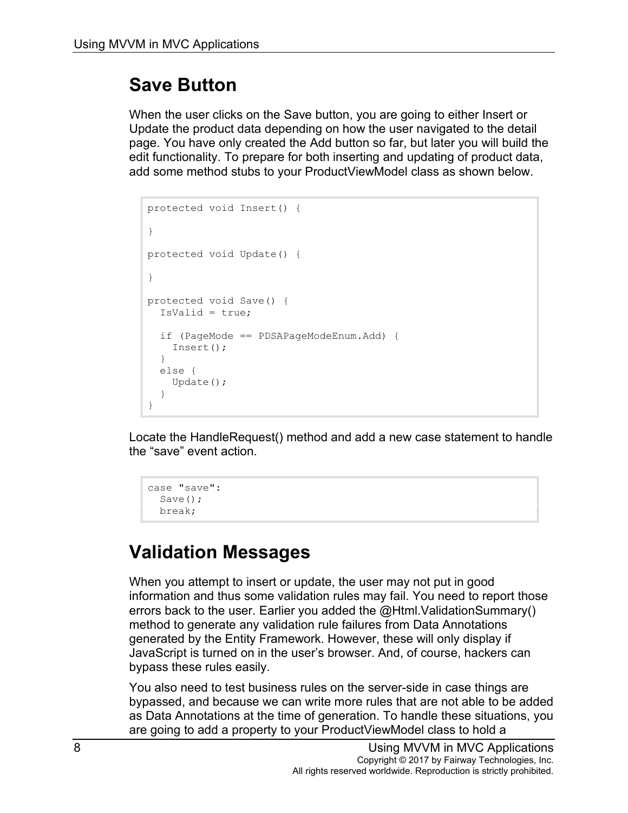### **Save Button**

When the user clicks on the Save button, you are going to either Insert or Update the product data depending on how the user navigated to the detail page. You have only created the Add button so far, but later you will build the edit functionality. To prepare for both inserting and updating of product data, add some method stubs to your ProductViewModel class as shown below.

```
protected void Insert() {
}
protected void Update() {
}
protected void Save() {
  IsValid = true;
   if (PageMode == PDSAPageModeEnum.Add) {
    Insert();
   }
   else {
     Update();
   }
}
```
Locate the HandleRequest() method and add a new case statement to handle the "save" event action.

```
case "save":
 Save() :
   break;
```
## **Validation Messages**

When you attempt to insert or update, the user may not put in good information and thus some validation rules may fail. You need to report those errors back to the user. Earlier you added the @Html.ValidationSummary() method to generate any validation rule failures from Data Annotations generated by the Entity Framework. However, these will only display if JavaScript is turned on in the user's browser. And, of course, hackers can bypass these rules easily.

You also need to test business rules on the server-side in case things are bypassed, and because we can write more rules that are not able to be added as Data Annotations at the time of generation. To handle these situations, you are going to add a property to your ProductViewModel class to hold a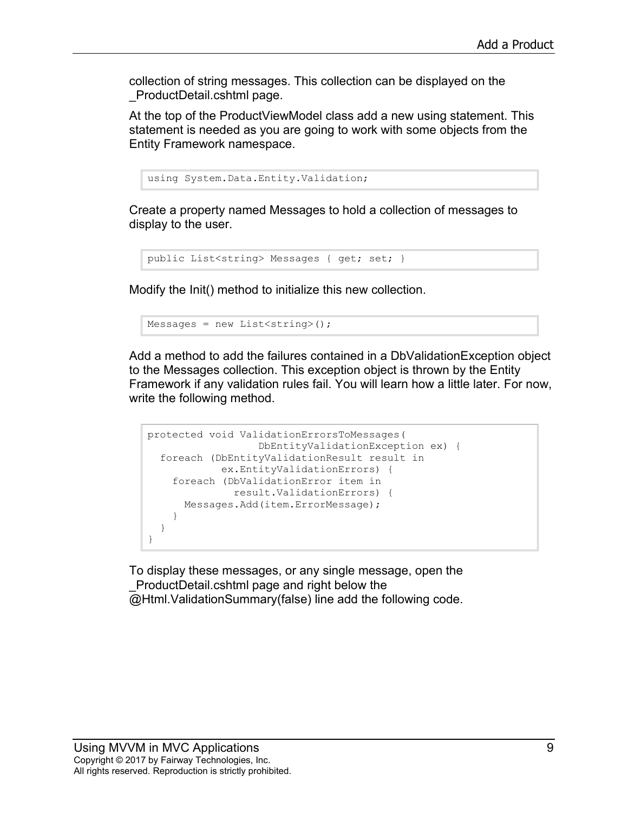collection of string messages. This collection can be displayed on the \_ProductDetail.cshtml page.

At the top of the ProductViewModel class add a new using statement. This statement is needed as you are going to work with some objects from the Entity Framework namespace.

```
using System.Data.Entity.Validation;
```
Create a property named Messages to hold a collection of messages to display to the user.

```
public List<string> Messages { get; set; }
```
Modify the Init() method to initialize this new collection.

```
Messages = new List<string>();
```
Add a method to add the failures contained in a DbValidationException object to the Messages collection. This exception object is thrown by the Entity Framework if any validation rules fail. You will learn how a little later. For now, write the following method.

```
protected void ValidationErrorsToMessages(
                   DbEntityValidationException ex) {
   foreach (DbEntityValidationResult result in
            ex.EntityValidationErrors) {
     foreach (DbValidationError item in
               result.ValidationErrors) {
      Messages.Add(item.ErrorMessage);
     }
   }
}
```
To display these messages, or any single message, open the \_ProductDetail.cshtml page and right below the @Html.ValidationSummary(false) line add the following code.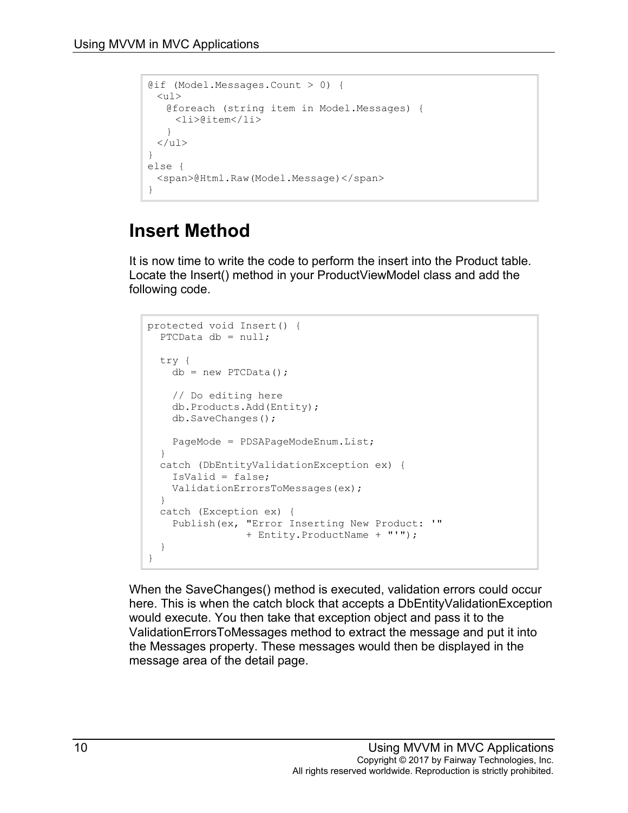```
@if (Model.Messages.Count > 0) {
 \langle 11 \rangle@foreach (string item in Model.Messages) {
    <li>@item</li>
   }
 \langle/ul>}
else {
 <span>@Html.Raw(Model.Message)</span>
}
```
### **Insert Method**

It is now time to write the code to perform the insert into the Product table. Locate the Insert() method in your ProductViewModel class and add the following code.

```
protected void Insert() {
 PTCData db = null; try {
   db = new PTCData();
    // Do editing here
    db.Products.Add(Entity);
    db.SaveChanges();
   PageMode = PDSAPageModeEnum.List;
  }
  catch (DbEntityValidationException ex) {
    IsValid = false;
    ValidationErrorsToMessages(ex);
  }
  catch (Exception ex) {
    Publish(ex, "Error Inserting New Product: '"
                 + Entity.ProductName + "'");
   }
}
```
When the SaveChanges() method is executed, validation errors could occur here. This is when the catch block that accepts a DbEntityValidationException would execute. You then take that exception object and pass it to the ValidationErrorsToMessages method to extract the message and put it into the Messages property. These messages would then be displayed in the message area of the detail page.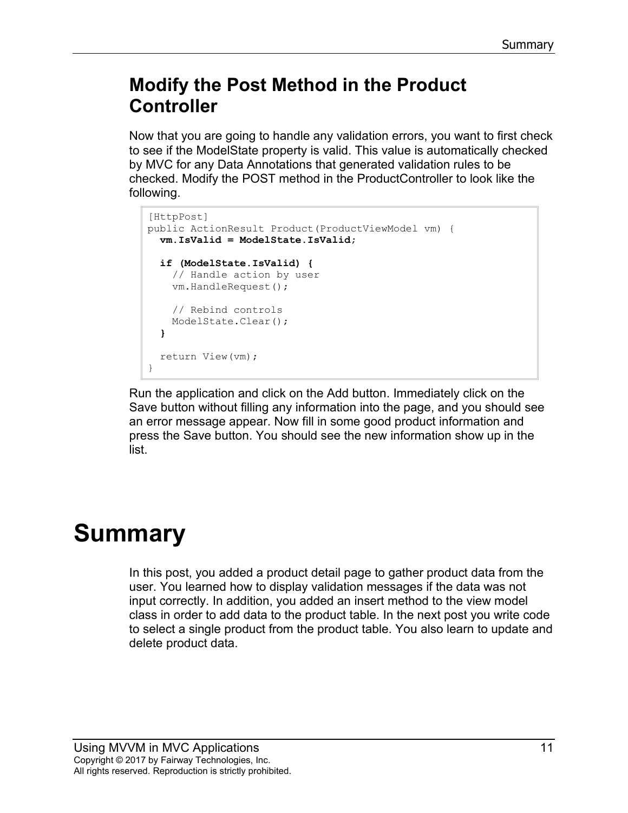#### **Modify the Post Method in the Product Controller**

Now that you are going to handle any validation errors, you want to first check to see if the ModelState property is valid. This value is automatically checked by MVC for any Data Annotations that generated validation rules to be checked. Modify the POST method in the ProductController to look like the following.

```
[HttpPost]
public ActionResult Product(ProductViewModel vm) {
   vm.IsValid = ModelState.IsValid;
  if (ModelState.IsValid) {
     // Handle action by user
     vm.HandleRequest();
     // Rebind controls
     ModelState.Clear();
   }
   return View(vm);
}
```
Run the application and click on the Add button. Immediately click on the Save button without filling any information into the page, and you should see an error message appear. Now fill in some good product information and press the Save button. You should see the new information show up in the list.

# **Summary**

In this post, you added a product detail page to gather product data from the user. You learned how to display validation messages if the data was not input correctly. In addition, you added an insert method to the view model class in order to add data to the product table. In the next post you write code to select a single product from the product table. You also learn to update and delete product data.